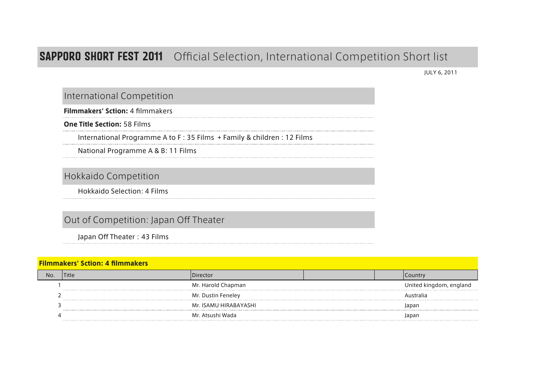## **SAPPORO SHORT FEST 2011** Official Selection, International Competition Short list

JULY 6, 2011

## International Competition

Filmmakers' Sction: 4 filmmakers

One Title Section: 58 Films

International Programme A to F : 35 Films + Family & children : 12 Films

National Programme A & B: 11 Films

Hokkaido Competition

Hokkaido Selection: 4 Films

## Out of Competition: Japan Off Theater

Japan Off Theater: 43 Films

| <b>Filmmakers' Sction: 4 filmmakers</b> |       |                       |  |  |                         |  |
|-----------------------------------------|-------|-----------------------|--|--|-------------------------|--|
| No                                      | Title | Director              |  |  | Country                 |  |
|                                         |       | Mr. Harold Chapman    |  |  | United kingdom, england |  |
|                                         |       | Mr. Dustin Feneley    |  |  | Australia               |  |
|                                         |       | Mr. ISAMU HIRABAYASHI |  |  | Japan                   |  |
|                                         |       | Mr. Atsushi Wada      |  |  | lapar                   |  |
|                                         |       |                       |  |  |                         |  |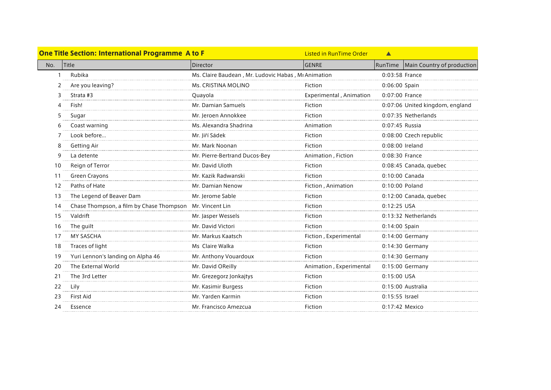|              | <b>One Title Section: International Programme A to F</b> |                                                     | <b>Listed in RunTime Order</b> | $\blacktriangle$ |                                 |
|--------------|----------------------------------------------------------|-----------------------------------------------------|--------------------------------|------------------|---------------------------------|
| Title<br>No. |                                                          | Director                                            | <b>GENRE</b>                   | RunTime          | Main Country of production      |
|              | Rubika                                                   | Ms. Claire Baudean, Mr. Ludovic Habas, Mr Animation |                                | 0:03:58 France   |                                 |
|              | Are you leaving?                                         | Ms. CRISTINA MOLINO                                 | Fiction                        | 0:06:00 Spain    |                                 |
| 3            | Strata #3                                                | Quayola                                             | Experimental, Animation        | 0:07:00 France   |                                 |
|              | Fish!                                                    | Mr. Damian Samuels                                  | Fiction                        |                  | 0:07:06 United kingdom, england |
|              | Sugar                                                    | Mr. Jeroen Annokkee                                 | Fiction                        |                  | 0:07:35 Netherlands             |
|              | Coast warning                                            | Ms. Alexandra Shadrina                              | Animation                      | 0:07:45 Russia   |                                 |
|              | Look before                                              | Mr. Jiří Sádek                                      | Fiction                        |                  | 0:08:00 Czech republic          |
| 8            | <b>Getting Air</b>                                       | Mr. Mark Noonan                                     | Fiction                        | 0:08:00 Ireland  |                                 |
| q            | La detente                                               | Mr. Pierre-Bertrand Ducos-Bey                       | Animation, Fiction             | 0:08:30 France   |                                 |
| 10           | Reign of Terror                                          | Mr. David Uloth                                     | Fiction                        |                  | 0:08:45 Canada, quebec          |
| 11           | Green Crayons                                            | Mr. Kazik Radwanski                                 | Fiction                        |                  | 0:10:00 Canada                  |
| 12           | Paths of Hate                                            | Mr. Damian Nenow                                    | Fiction, Animation             | 0:10:00 Poland   |                                 |
| 13           | The Legend of Beaver Dam                                 | Mr. Jerome Sable                                    | Fiction                        |                  | 0:12:00 Canada, quebec          |
| 14           | Chase Thompson, a film by Chase Thompson Mr. Vincent Lin |                                                     | Fiction                        | 0:12:25 USA      |                                 |
| 15           | Valdrift                                                 | Mr. Jasper Wessels                                  | Fiction                        |                  | 0:13:32 Netherlands             |
| 16           | The guilt                                                | Mr. David Victori                                   | Fiction                        | 0:14:00 Spain    |                                 |
| 17           | MY SASCHA                                                | Mr. Markus Kaatsch                                  | Fiction, Experimental          |                  | 0:14:00 Germany                 |
| 18           | Traces of light                                          | Ms Claire Walka                                     | Fiction                        |                  | 0:14:30 Germany                 |
| 19           | Yuri Lennon's landing on Alpha 46                        | Mr. Anthony Vouardoux                               | Fiction                        |                  | $0:14:30$ Germany               |
| 20           | The External World                                       | Mr. David OReilly                                   | Animation, Experimental        |                  | 0:15:00 Germany                 |
| 21           | The 3rd Letter                                           | Mr. Grezegorz Jonkajtys                             | Fiction                        | 0:15:00 USA      |                                 |
| 22           | Lily                                                     | Mr. Kasimir Burgess                                 | Fiction                        |                  | 0:15:00 Australia               |
| 23           | First Aid                                                | Mr. Yarden Karmin                                   | Fiction                        | 0:15:55 Israel   |                                 |
| 24           | Essence                                                  | Mr. Francisco Amezcua                               | Fiction                        | 0:17:42 Mexico   |                                 |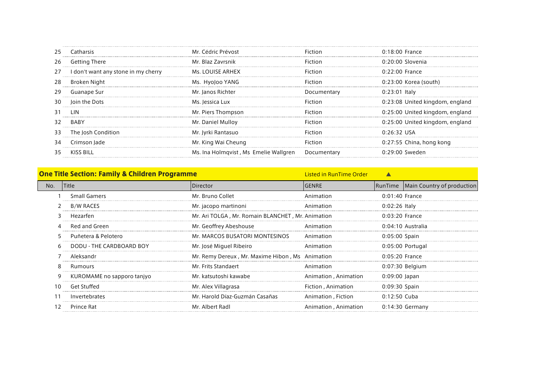| 25 | Catharsis                           | Mr. Cédric Prévost                    | Fiction        | $0:18:00$ France                |
|----|-------------------------------------|---------------------------------------|----------------|---------------------------------|
| 26 | <b>Getting There</b>                | Mr. Blaz Zavrsnik                     | <b>Fiction</b> | $0:20:00$ Slovenia              |
| 27 | I don't want any stone in my cherry | Ms. LOUISE ARHEX                      | <b>Fiction</b> | 0:22:00 France                  |
| 28 | Broken Night                        | Ms. HyoJoo YANG                       | <b>Fiction</b> | $0:23:00$ Korea (south)         |
| 29 | Guanape Sur                         | Mr. Janos Richter                     | Documentary    | $0:23:01$ Italy                 |
| 30 | Join the Dots                       | Ms. Jessica Lux                       | <b>Fiction</b> | 0:23:08 United kingdom, england |
| 31 | 1 IN                                | Mr. Piers Thompson                    | <b>Fiction</b> | 0:25:00 United kingdom, england |
| 32 | <b>BABY</b>                         | Mr. Daniel Mulloy                     | Fiction        | 0:25:00 United kingdom, england |
| 33 | The Josh Condition                  | Mr. Jyrki Rantasuo                    | <b>Fiction</b> | $0:26:32$ USA                   |
| 34 | Crimson lade                        | Mr. King Wai Cheung                   | Fiction        | 0:27:55 China, hong kong        |
|    | KISS BILL                           | Ms. Ina Holmgvist, Ms Emelie Wallgren | Documentary    | $0:29:00$ Sweden                |
|    |                                     |                                       |                |                                 |

|     | <b>One Title Section: Family &amp; Children Programme</b> | <b>Listed in RunTime Order</b>                    |                       |                  |                                    |
|-----|-----------------------------------------------------------|---------------------------------------------------|-----------------------|------------------|------------------------------------|
| No. | <b>Title</b>                                              | Director                                          | GENRE                 |                  | RunTime Main Country of production |
|     | <b>Small Gamers</b>                                       | Mr. Bruno Collet                                  | Animation             | $0:01:40$ France |                                    |
|     | <b>B/W RACES</b>                                          | Mr. jacopo martinoni                              | Animation             | $0:02:26$ Italy  |                                    |
|     | Hezarfen                                                  | Mr. Ari TOLGA, Mr. Romain BLANCHET, Mr. Animation |                       | $0:03:20$ France |                                    |
|     | Red and Green                                             | Mr. Geoffrey Abeshouse                            | Animation             |                  | $0:04:10$ Australia                |
|     | Puñetera & Pelotero                                       | Mr. MARCOS BUSATORI MONTESINOS                    | Animation             | 0:05:00 Spain    |                                    |
|     | DODU - THE CARDBOARD BOY                                  | Mr. José Miguel Ribeiro                           | Animation             |                  | $0:05:00$ Portugal                 |
|     | Aleksandr                                                 | Mr. Remy Dereux, Mr. Maxime Hibon, Ms Animation   |                       | $0:05:20$ France |                                    |
|     | Rumours                                                   | Mr. Frits Standaert                               | Animation             |                  | 0:07:30 Belgium                    |
|     | KUROMAME no sapporo tanjyo                                | Mr. katsutoshi kawabe                             | Animation, Animation  | 0:09:00 Japan    |                                    |
|     | Get Stuffed                                               | Mr. Alex Villagrasa                               | Fiction, Animation    | 0:09:30 Spain    |                                    |
|     | Invertebrates                                             | Mr. Harold Díaz-Guzmán Casañas                    | Animation . Fiction   | $0:12:50$ Cuba   |                                    |
|     | Prince Rat                                                | Mr. Albert Radl                                   | Animation , Animation |                  | $0:14:30$ Germany                  |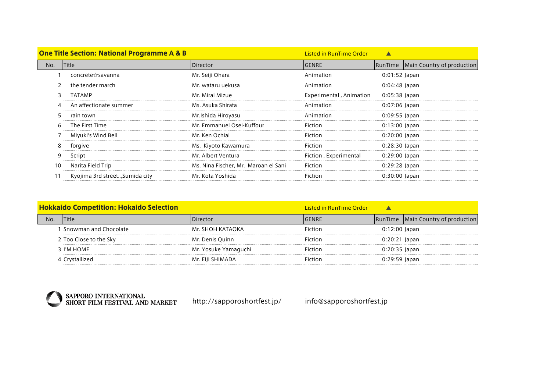|     | <b>One Title Section: National Programme A &amp; B</b> | <b>Listed in RunTime Order</b>       |                         |                 |                                      |
|-----|--------------------------------------------------------|--------------------------------------|-------------------------|-----------------|--------------------------------------|
| No. | <b>ITitle</b>                                          | <b>IDirector</b>                     | <b>GENRE</b>            |                 | RunTime   Main Country of production |
|     | concrete☆savanna                                       | Mr. Seiji Ohara                      | Animation               | $0:01:52$ Japan |                                      |
|     | the tender march                                       | Mr. wataru uekusa                    | Animation               | $0:04:48$ Japan |                                      |
|     | TATAMP                                                 | Mr. Mirai Mizue                      | Experimental, Animation | $0:05:38$ Japan |                                      |
|     | An affectionate summer                                 | Ms. Asuka Shirata                    | Animation               | 0:07:06 Japan   |                                      |
|     | rain town                                              | Mr.Ishida Hiroyasu                   | Animation               | $0:09:55$ Japan |                                      |
| 6   | The First Time                                         | Mr. Emmanuel Osei-Kuffour            | Fiction                 | $0:13:00$ Japan |                                      |
|     | Miyuki's Wind Bell                                     | Mr. Ken Ochiai                       | Fiction                 | $0:20:00$ Japan |                                      |
| 8   | forgive                                                | Ms. Kiyoto Kawamura                  | Fiction                 | 0:28:30 Japan   |                                      |
| 9   | Script                                                 | Mr. Albert Ventura                   | Fiction, Experimental   | 0:29:00 Japan   |                                      |
|     | Narita Field Trip                                      | Ms. Nina Fischer, Mr. Maroan el Sani | Fiction                 | $0:29:28$ Japan |                                      |
|     | Kyojima 3rd street, Sumida city                        | Mr. Kota Yoshida                     | Fiction                 | $0:30:00$ Japan |                                      |

| <b>Hokkaido Competition: Hokaido Selection</b> |                        |                      | Listed in RunTime Order |                 |                                      |
|------------------------------------------------|------------------------|----------------------|-------------------------|-----------------|--------------------------------------|
| No                                             | Title                  | )irector             | IGENRE.                 |                 | RunTime   Main Country of production |
|                                                | Snowman and Chocolate  | Mr. SHOH KATAOKA     | Fiction                 | $0:12:00$ Japan |                                      |
|                                                | 2 Too Close to the Sky | Mr. Denis Quinn      | Fiction                 | $0:20:21$ Japan |                                      |
|                                                | 3 I'M HOMF             | Mr. Yosuke Yamaguchi | Fiction                 | 0:20:35 Japan   |                                      |
|                                                | 4 Crystallized         | Mr. EIJI SHIMADA     | Fiction                 | $0:29:59$ Japan |                                      |



http://sapporoshortfest.jp/ info@sapporoshortfest.jp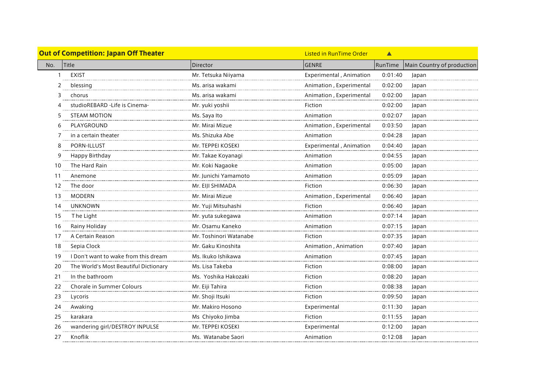

|     | <b>Out of Competition: Japan Off Theater</b> |                        | <b>Listed in RunTime Order</b> | Δ       |                            |
|-----|----------------------------------------------|------------------------|--------------------------------|---------|----------------------------|
| No. | Title                                        | <b>Director</b>        | <b>GENRE</b>                   | RunTime | Main Country of production |
|     | <b>EXIST</b>                                 | Mr. Tetsuka Niiyama    | Experimental, Animation        | 0:01:40 | Japan                      |
|     | blessing                                     | Ms. arisa wakami       | Animation, Experimental        | 0:02:00 | Japan                      |
| ξ   | chorus                                       | Ms. arisa wakami       | Animation, Experimental        | 0:02:00 | Japan                      |
|     | studioREBARD - Life is Cinema-               | Mr. yuki yoshii        | Fiction                        | 0:02:00 | Japan                      |
|     | <b>STEAM MOTION</b>                          | Ms. Saya Ito           | Animation                      | 0:02:07 | Japan                      |
| 6   | PLAYGROUND                                   | Mr. Mirai Mizue        | Animation, Experimental        | 0:03:50 | Japan                      |
|     | in a certain theater                         | Ms. Shizuka Abe        | Animation                      | 0:04:28 | Japan                      |
|     | PORN-ILLUST                                  | Mr. TEPPEI KOSEKI      | Experimental, Animation        | 0:04:40 | Japan                      |
| 9   | Happy Birthday                               | Mr. Takae Koyanagi     | Animation                      | 0:04:55 | Japan                      |
| 10  | The Hard Rain                                | Mr. Koki Nagaoke       | Animation                      | 0:05:00 | Japan                      |
| 11  | Anemone                                      | Mr. Junichi Yamamoto   | Animation                      | 0:05:09 | Japan                      |
| 12  | The door                                     | Mr. EIJI SHIMADA       | Fiction                        | 0:06:30 | Japan                      |
| 13  | <b>MODERN</b>                                | Mr. Mirai Mizue        | Animation, Experimental        | 0:06:40 | Japan                      |
| 14  | <b>UNKNOWN</b>                               | Mr. Yuji Mitsuhashi    | Fiction                        | 0:06:40 | Japan                      |
| 15  | The Light                                    | Mr. yuta sukegawa      | Animation                      | 0:07:14 | Japan                      |
| 16  | Rainy Holiday                                | Mr. Osamu Kaneko       | Animation                      | 0:07:15 | Japan                      |
| 17  | A Certain Reason                             | Mr. Toshinori Watanabe | Fiction                        | 0:07:35 | Japan                      |
| 18  | Sepia Clock                                  | Mr. Gaku Kinoshita     | Animation, Animation           | 0:07:40 | Japan                      |
| 19  | I Don't want to wake from this dream         | Ms. Ikuko Ishikawa     | Animation                      | 0:07:45 | Japan                      |
| 20  | The World's Most Beautiful Dictionary        | Ms. Lisa Takeba        | Fiction                        | 0:08:00 | Japan                      |
| 21  | In the bathroom                              | Ms. Yoshika Hakozaki   | Fiction                        | 0:08:20 | Japan                      |
| 22  | Chorale in Summer Colours                    | Mr. Eiji Tahira        | Fiction                        | 0:08:38 | Japan                      |
| 23  | Lycoris                                      | Mr. Shoji Itsuki       | Fiction                        | 0:09:50 | Japan                      |
| 24  | Awaking                                      | Mr. Makiro Hosono      | Experimental                   | 0:11:30 | Japan                      |
| 25  | karakara                                     | Ms Chiyoko Jimba       | Fiction                        | 0:11:55 | Japan                      |
| 26  | wandering girl/DESTROY INPULSE               | Mr. TEPPEI KOSEKI      | Experimental                   | 0:12:00 | Japan                      |
| 27  | Knoflik                                      | Ms. Watanabe Saori     | Animation                      | 0:12:08 | Japan                      |